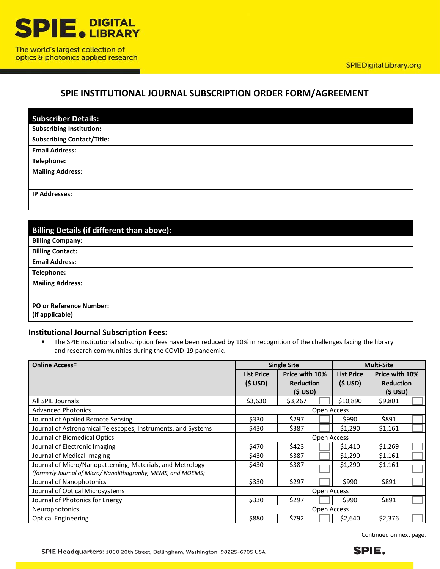

optics & photonics applied research

## **SPIE INSTITUTIONAL JOURNAL SUBSCRIPTION ORDER FORM/AGREEMENT**

| <b>Subscriber Details:</b>        |  |
|-----------------------------------|--|
| <b>Subscribing Institution:</b>   |  |
| <b>Subscribing Contact/Title:</b> |  |
| <b>Email Address:</b>             |  |
| Telephone:                        |  |
| <b>Mailing Address:</b>           |  |
|                                   |  |
| <b>IP Addresses:</b>              |  |
|                                   |  |

| <b>Billing Details (if different than above):</b> |  |  |  |  |
|---------------------------------------------------|--|--|--|--|
| <b>Billing Company:</b>                           |  |  |  |  |
| <b>Billing Contact:</b>                           |  |  |  |  |
| <b>Email Address:</b>                             |  |  |  |  |
| Telephone:                                        |  |  |  |  |
| <b>Mailing Address:</b>                           |  |  |  |  |
| <b>PO or Reference Number:</b><br>(if applicable) |  |  |  |  |

## **Institutional Journal Subscription Fees:**

**The SPIE institutional subscription fees have been reduced by 10% in recognition of the challenges facing the library** and research communities during the COVID-19 pandemic.

| <b>Online Access‡</b>                                         | <b>Single Site</b> |                  |                   | <b>Multi-Site</b>   |  |
|---------------------------------------------------------------|--------------------|------------------|-------------------|---------------------|--|
|                                                               | <b>List Price</b>  | Price with 10%   | <b>List Price</b> | Price with 10%      |  |
|                                                               | $(S$ USD)          | <b>Reduction</b> | $(S \text{ USD})$ | <b>Reduction</b>    |  |
|                                                               |                    | $(S$ USD)        |                   | (S <sub>USD</sub> ) |  |
| All SPIE Journals                                             | \$3,630            | \$3,267          | \$10,890          | \$9,801             |  |
| <b>Advanced Photonics</b>                                     |                    |                  | Open Access       |                     |  |
| Journal of Applied Remote Sensing                             | \$330              | \$297            | \$990             | \$891               |  |
| Journal of Astronomical Telescopes, Instruments, and Systems  | \$430              | \$387            | \$1,290           | \$1,161             |  |
| Journal of Biomedical Optics                                  | Open Access        |                  |                   |                     |  |
| Journal of Electronic Imaging                                 | \$470              | \$423            | \$1,410           | \$1,269             |  |
| Journal of Medical Imaging                                    | \$430              | \$387            | \$1,290           | \$1,161             |  |
| Journal of Micro/Nanopatterning, Materials, and Metrology     | \$430              | \$387            | \$1,290           | \$1,161             |  |
| (formerly Journal of Micro/ Nanolithography, MEMS, and MOEMS) |                    |                  |                   |                     |  |
| Journal of Nanophotonics                                      | \$330              | \$297            | \$990             | \$891               |  |
| Journal of Optical Microsystems                               |                    |                  | Open Access       |                     |  |
| Journal of Photonics for Energy                               | \$330              | \$297            | \$990             | \$891               |  |
| <b>Neurophotonics</b>                                         | Open Access        |                  |                   |                     |  |
| <b>Optical Engineering</b>                                    | \$880              | \$792            | \$2,640           | \$2,376             |  |

Continued on next page.

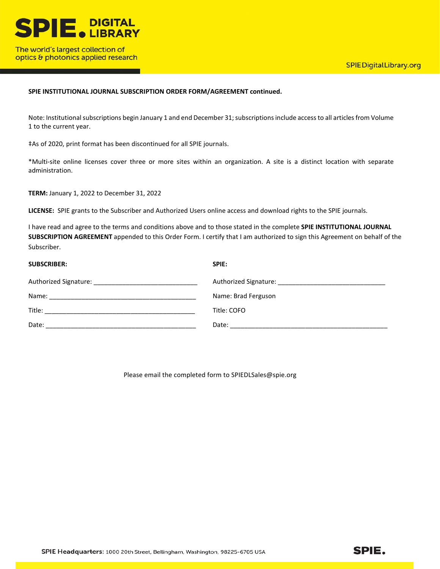

optics & photonics applied research

## **SPIE INSTITUTIONAL JOURNAL SUBSCRIPTION ORDER FORM/AGREEMENT continued.**

Note: Institutional subscriptions begin January 1 and end December 31; subscriptions include access to all articles from Volume 1 to the current year.

‡As of 2020, print format has been discontinued for all SPIE journals.

\*Multi-site online licenses cover three or more sites within an organization. A site is a distinct location with separate administration.

**TERM:** January 1, 2022 to December 31, 2022

**LICENSE:** SPIE grants to the Subscriber and Authorized Users online access and download rights to the SPIE journals.

I have read and agree to the terms and conditions above and to those stated in the complete **SPIE INSTITUTIONAL JOURNAL SUBSCRIPTION AGREEMENT** appended to this Order Form. I certify that I am authorized to sign this Agreement on behalf of the Subscriber.

| <b>SUBSCRIBER:</b> | SPIE:               |
|--------------------|---------------------|
|                    |                     |
| Name:              | Name: Brad Ferguson |
|                    | Title: COFO         |
| Date:              |                     |

Please email the completed form to SPIEDLSales@spie.org

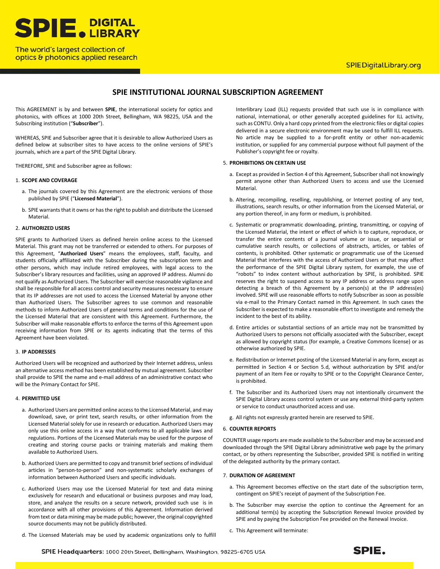

## The world's largest collection of optics & photonics applied research

## **SPIEDigitalLibrary.org**

## **SPIE INSTITUTIONAL JOURNAL SUBSCRIPTION AGREEMENT**

This AGREEMENT is by and between **SPIE**, the international society for optics and photonics, with offices at 1000 20th Street, Bellingham, WA 98225, USA and the Subscribing institution ("**Subscriber**").

WHEREAS, SPIE and Subscriber agree that it is desirable to allow Authorized Users as defined below at subscriber sites to have access to the online versions of SPIE's journals, which are a part of the SPIE Digital Library.

THEREFORE, SPIE and Subscriber agree as follows:

#### 1. **SCOPE AND COVERAGE**

- a. The journals covered by this Agreement are the electronic versions of those published by SPIE ("**Licensed Material**").
- b. SPIE warrants that it owns or has the right to publish and distribute the Licensed Material.

#### 2. **AUTHORIZED USERS**

SPIE grants to Authorized Users as defined herein online access to the Licensed Material. This grant may not be transferred or extended to others. For purposes of this Agreement, "**Authorized Users**" means the employees, staff, faculty, and students officially affiliated with the Subscriber during the subscription term and other persons, which may include retired employees, with legal access to the Subscriber's library resources and facilities, using an approved IP address. Alumni do not qualify as Authorized Users. The Subscriber will exercise reasonable vigilance and shall be responsible for all access control and security measures necessary to ensure that its IP addresses are not used to access the Licensed Material by anyone other than Authorized Users. The Subscriber agrees to use common and reasonable methods to inform Authorized Users of general terms and conditions for the use of the Licensed Material that are consistent with this Agreement. Furthermore, the Subscriber will make reasonable efforts to enforce the terms of this Agreement upon receiving information from SPIE or its agents indicating that the terms of this Agreement have been violated.

#### 3. **IP ADDRESSES**

Authorized Users will be recognized and authorized by their Internet address, unless an alternative access method has been established by mutual agreement. Subscriber shall provide to SPIE the name and e-mail address of an administrative contact who will be the Primary Contact for SPIE.

#### 4. **PERMITTED USE**

- a. Authorized Users are permitted online access to the Licensed Material, and may download, save, or print text, search results, or other information from the Licensed Material solely for use in research or education. Authorized Users may only use this online access in a way that conforms to all applicable laws and regulations. Portions of the Licensed Materials may be used for the purpose of creating and storing course packs or training materials and making them available to Authorized Users.
- b. Authorized Users are permitted to copy and transmit brief sections of individual articles in "person-to-person" and non-systematic scholarly exchanges of information between Authorized Users and specific individuals.
- c. Authorized Users may use the Licensed Material for text and data mining exclusively for research and educational or business purposes and may load, store, and analyze the results on a secure network, provided such use is in accordance with all other provisions of this Agreement. Information derived from text or data mining may be made public; however, the original copyrighted source documents may not be publicly distributed.
- d. The Licensed Materials may be used by academic organizations only to fulfill

Interlibrary Load (ILL) requests provided that such use is in compliance with national, international, or other generally accepted guidelines for ILL activity, such as CONTU. Only a hard copy printed from the electronic files or digital copies delivered in a secure electronic environment may be used to fulfill ILL requests. No article may be supplied to a for-profit entity or other non-academic institution, or supplied for any commercial purpose without full payment of the Publisher's copyright fee or royalty.

#### 5. **PROHIBITIONS ON CERTAIN USE**

- a. Except as provided in Section 4 of this Agreement, Subscriber shall not knowingly permit anyone other than Authorized Users to access and use the Licensed Material.
- b. Altering, recompiling, reselling, republishing, or Internet posting of any text, illustrations, search results, or other information from the Licensed Material, or any portion thereof, in any form or medium, is prohibited.
- c. Systematic or programmatic downloading, printing, transmitting, or copying of the Licensed Material, the intent or effect of which is to capture, reproduce, or transfer the entire contents of a journal volume or issue, or sequential or cumulative search results, or collections of abstracts, articles, or tables of contents, is prohibited. Other systematic or programmatic use of the Licensed Material that interferes with the access of Authorized Users or that may affect the performance of the SPIE Digital Library system, for example, the use of "robots" to index content without authorization by SPIE, is prohibited. SPIE reserves the right to suspend access to any IP address or address range upon detecting a breach of this Agreement by a person(s) at the IP address(es) involved. SPIE will use reasonable efforts to notify Subscriber as soon as possible via e-mail to the Primary Contact named in this Agreement. In such cases the Subscriber is expected to make a reasonable effort to investigate and remedy the incident to the best of its ability.
- d. Entire articles or substantial sections of an article may not be transmitted by Authorized Users to persons not officially associated with the Subscriber, except as allowed by copyright status (for example, a Creative Commons license) or as otherwise authorized by SPIE.
- e. Redistribution or Internet posting of the Licensed Material in any form, except as permitted in Section 4 or Section 5.d, without authorization by SPIE and/or payment of an Item Fee or royalty to SPIE or to the Copyright Clearance Center, is prohibited.
- f. The Subscriber and its Authorized Users may not intentionally circumvent the SPIE Digital Library access control system or use any external third-party system or service to conduct unauthorized access and use.
- g. All rights not expressly granted herein are reserved to SPIE.

#### 6. **COUNTER REPORTS**

COUNTER usage reports are made available to the Subscriber and may be accessed and downloaded through the SPIE Digital Library administrative web page by the primary contact, or by others representing the Subscriber, provided SPIE is notified in writing of the delegated authority by the primary contact.

#### 7. **DURATION OF AGREEMENT**

- a. This Agreement becomes effective on the start date of the subscription term, contingent on SPIE's receipt of payment of the Subscription Fee.
- b. The Subscriber may exercise the option to continue the Agreement for an additional term(s) by accepting the Subscription Renewal Invoice provided by SPIE and by paying the Subscription Fee provided on the Renewal Invoice.
- c. This Agreement will terminate: